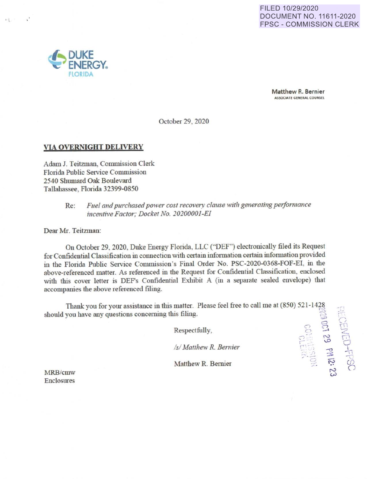## FILED 10/29/2020 DOCUMENT NO. 11611 -2020 FPSC - COMMISSION CLERK



' I

 $\mathbf{a}^*$ 

**Matthew R. Bernier ASSOCIATE GENERAi.** COUNSEL

39 - 82<br>동화 - 로

 $\tilde{P}$ 

 $-1$  $\sum_{i=1}^{n}$ '2  $\Box$ 

 $Q_{\pm}$ 

~

October 29, 2020

## **VIA OVERNIGHT DELIVERY**

Adam J. Teitzman, Commission Clerk Florida Public Service Commission 2540 Shumard Oak Boulevard Tallahassee. Florida 32399-0850

# Re: Fuel and purchased power cost recovery clause with generating performance *i11ce11ffve Factor; Docket No. 20200001-EI*

Dear Mr. Teitzman:

On October 29, 2020, Duke Energy Florida, LLC ("DEF") electronically filed its Request for Confidential Classification in connection with certain information certain information provided in the Florida Public Service Commission's Final Order No. PSC-2020-0368-FOF-EI, in the above-referenced matter. As referenced in the Request for Confidential Classification, enclosed with this cover letter is DEF's Confidential Exhibit A (in a separate sealed envelope) that accompanies the above referenced filing.

Thank you for your assistance in this matter. Please feel free to call me at (850) 521-1428 should you have any questions concerning this filing.  $\approx$ 

Respectfully,

*Isl Matrhew R. Bemier* 

Matthew R. Bernier

MRB/cmw Enclosures